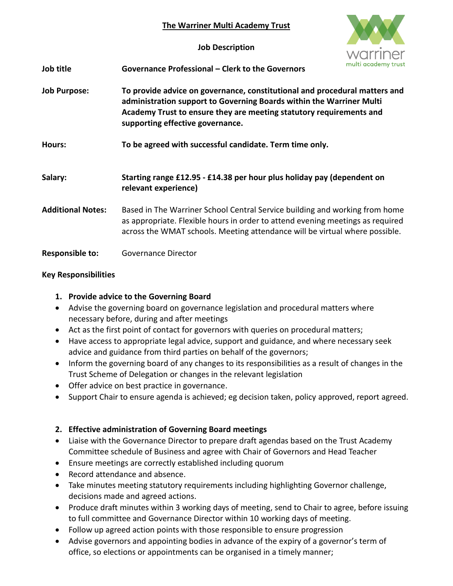#### **The Warriner Multi Academy Trust**

**Job Description**



| Job title | Governance Professional – Clerk to the Governors |  |
|-----------|--------------------------------------------------|--|
|           |                                                  |  |

- **Job Purpose: To provide advice on governance, constitutional and procedural matters and administration support to Governing Boards within the Warriner Multi Academy Trust to ensure they are meeting statutory requirements and supporting effective governance.**
- **Hours: To be agreed with successful candidate. Term time only.**
- **Salary: Starting range £12.95 - £14.38 per hour plus holiday pay (dependent on relevant experience)**
- **Additional Notes:** Based in The Warriner School Central Service building and working from home as appropriate. Flexible hours in order to attend evening meetings as required across the WMAT schools. Meeting attendance will be virtual where possible.
- **Responsible to:** Governance Director

### **Key Responsibilities**

## **1. Provide advice to the Governing Board**

- Advise the governing board on governance legislation and procedural matters where necessary before, during and after meetings
- Act as the first point of contact for governors with queries on procedural matters;
- Have access to appropriate legal advice, support and guidance, and where necessary seek advice and guidance from third parties on behalf of the governors;
- Inform the governing board of any changes to its responsibilities as a result of changes in the Trust Scheme of Delegation or changes in the relevant legislation
- Offer advice on best practice in governance.
- Support Chair to ensure agenda is achieved; eg decision taken, policy approved, report agreed.

# **2. Effective administration of Governing Board meetings**

- Liaise with the Governance Director to prepare draft agendas based on the Trust Academy Committee schedule of Business and agree with Chair of Governors and Head Teacher
- Ensure meetings are correctly established including quorum
- Record attendance and absence.
- Take minutes meeting statutory requirements including highlighting Governor challenge, decisions made and agreed actions.
- Produce draft minutes within 3 working days of meeting, send to Chair to agree, before issuing to full committee and Governance Director within 10 working days of meeting.
- Follow up agreed action points with those responsible to ensure progression
- Advise governors and appointing bodies in advance of the expiry of a governor's term of office, so elections or appointments can be organised in a timely manner;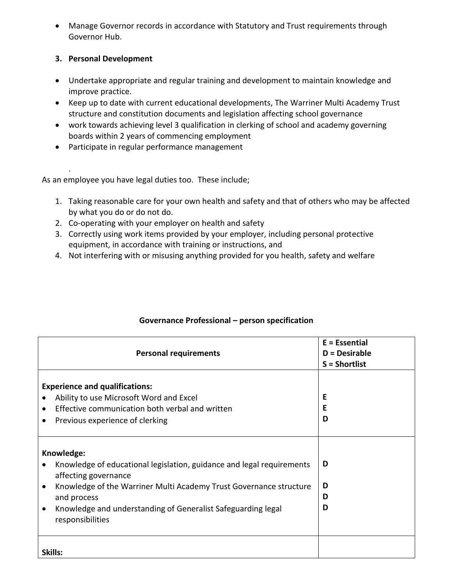Manage Governor records in accordance with Statutory and Trust requirements through Governor Hub.

### **3. Personal Development**

- Undertake appropriate and regular training and development to maintain knowledge and improve practice.
- Keep up to date with current educational developments, The Warriner Multi Academy Trust structure and constitution documents and legislation affecting school governance
- work towards achieving level 3 qualification in clerking of school and academy governing boards within 2 years of commencing employment
- Participate in regular performance management

. As an employee you have legal duties too. These include;

- 1. Taking reasonable care for your own health and safety and that of others who may be affected by what you do or do not do.
- 2. Co-operating with your employer on health and safety
- 3. Correctly using work items provided by your employer, including personal protective equipment, in accordance with training or instructions, and
- 4. Not interfering with or misusing anything provided for you health, safety and welfare

| <b>Personal requirements</b>                                                                                                                                                                                                                                                         | $E = E$ ssential<br>$D =$ Desirable<br>$S = Shortlist$ |
|--------------------------------------------------------------------------------------------------------------------------------------------------------------------------------------------------------------------------------------------------------------------------------------|--------------------------------------------------------|
| <b>Experience and qualifications:</b><br>Ability to use Microsoft Word and Excel<br>Effective communication both verbal and written<br>$\bullet$<br>Previous experience of clerking<br>$\bullet$                                                                                     | E<br>E<br>D                                            |
| Knowledge:<br>Knowledge of educational legislation, guidance and legal requirements<br>affecting governance<br>Knowledge of the Warriner Multi Academy Trust Governance structure<br>and process<br>Knowledge and understanding of Generalist Safeguarding legal<br>responsibilities | D<br>D<br>D<br>D                                       |
| Skills:                                                                                                                                                                                                                                                                              |                                                        |

### **Governance Professional – person specification**